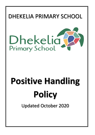



# **Positive Handling Policy**

Updated October 2020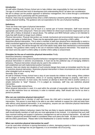### **Introduction**

All staff within Dhekelia Primary School aim to help children take responsibility for their own behaviour. The age of a child and their level of development and understanding MUST be taken into consideration. We aim to always use the positive approach to behaviour management, this is done through a combination of approaches and in partnership with the parent/carer.

However, there may be occasional times when a child's behaviour presents particular challenges that may require physical handling. This guidance sets out expectations for the use of physical handling.

#### **Definitions**

There are three main types of physical intervention:

*Positive handling.* The positive use of touch is a normal part of human interaction. Staff must exercise appropriate care when using touch. There are some children for whom touch would be inappropriate such as those with a history of physical or sexual abuse. The setting's and MOD Schools' policy is not intended to imply that staff should no longer touch children.

*Physical intervention.* Physical intervention can include mechanical and environmental means such as high chairs, stair gates or locked doors. These may be appropriate ways of ensuring a child's safety.

*Restrictive physical intervention.* This is when a member of staff uses physical force intentionally to restrict a child's movement against his or her will reducing any risk to the child, other children or adults in the immediate area. In most cases, this will be through the use of the adult's body rather than mechanical or environmental methods. This guidance refers mainly to the use of restrictive bodily physical intervention. This would be a last resort and only used if a child's safety or another child's safety is compromised.

#### **Principles for the use of restrictive physical intervention** Firstly:

Restrictive behaviour management.

This should be used in the context of positive behaviour management approaches. We will only use restrictive physical intervention in extreme circumstances. It must not be the preferred way of managing children's behaviour. Physical intervention should only be used in the context of a

well-established and well implemented positive framework.

However, there are clearly rare situations of such extreme danger that create an immediate need for the use of restrictive physical intervention. Restrictive physical intervention in these circumstances can be used with other strategies such as saying "stop".

Secondly: Duty of care.

All staff at Dhekelia Primary School have a duty of care towards the children in their setting. When children are in danger of hurting themselves, others or of causing significant damage to property, staff have a responsibility to intervene. In most cases, this involves an attempt to divert the child to another activity or a simple instruction to "stop!" However, if it is judged as necessary, staff may use restrictive physical intervention.

Thirdly: Reasonable minimal force.

When physical intervention is used, it is used within the principle of reasonable minimal force. Staff should use as little restrictive force as necessary in order to maintain safety. Staff should use this for as short a period as possible.

#### **Who can use restrictive physical intervention?**

It is recommended that a member of staff who knows the child well is involved in a restrictive physical intervention. This person is most likely to be able to use other methods to support the child and keep them safe without using physical intervention. In an emergency, anyone can use restrictive physical intervention as long as it is consistent with our setting's policy.

Where individual children's behaviour means that they are likely to require restrictive physical intervention, staff should identify members of staff who are most appropriate to be involved. It is important that such staff have received training and support in behaviour management as well as physical intervention. All staff and children's physical and emotional health is considered when such plans are made. All plans must be shared with the child's parent/carer. Please refer to the Headteacher or a senior member of staff.

#### **When can restrictive physical intervention be used?**

It can be used when someone is injuring themselves or others, damaging property or there is suspicion that although injury or damage has not yet happened, it is at immediate risk of occurring.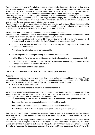The duty of care means that staff might have to use restrictive physical intervention if a child is trying to leave the site and it is judged that the child would be at risk. Staff should also use other protective measures, such as securing the site and ensuring appropriate staffing levels are provided. This duty of care also extends beyond the site boundaries: when staff have control or charge of children off site (e.g. on trips).

There may be times when restrictive physical intervention is justified but the situation might be made worse if restrictive physical intervention is used. If staff judge that restrictive physical intervention would make the situation worse, staff would not use it, but would do something else (like issue an instruction to stop, seek help, or make the area safe) consistent with their duty of care.

The aim in using restrictive physical intervention is to restore safety, both for the child and those around him or her. Restrictive physical intervention must never be used out of anger, as a punishment or as an alternative to measures which are less intrusive and which staff judge would be effective.

# **What type of restrictive physical intervention can and cannot be used?**

Any use of physical intervention should be consistent with the principle of reasonable minimal force. Where it is judged that restrictive physical intervention is necessary, staff should:

- Aim for side-by-side contact with the child. Avoid positioning themselves in front (to reduce the risk of being kicked) or behind (to reduce the risk of allegations of sexual misconduct)
- Aim for no gap between the adult's and child's body, where they are side by side. This minimises the risk of impact and damage
- Aim to keep the adult's back as straight as possible
- Beware in particular of head positioning, to avoid head butts from the child
- Hold children by "long" bones, i.e. avoid grasping at joints where pain and damage are most likely
- Ensure that there is no restriction to the child's ability to breathe. In particular, this means avoiding holding a child around the chest cavity or stomach.
- Avoid lifting mobile children where possible.

(See Appendix 1: Summary guidance for staff on the use of physical intervention.)

#### **Planning**

In an emergency, staff do their best within their duty of care and using reasonable minimal force. After an emergency the situation is reviewed and plans for an appropriate future response are made. This will be based on a risk assessment which considers the risks presented by the child's behaviour:

- The potential targets of such risks
- Preventative and responsive strategies to manage these risks.

A risk assessment is used to help write the individual behaviour plan that is developed to support a child. If a behaviour plan includes restrictive physical intervention it will be just one part of a whole approach to supporting a child's behaviour. The behaviour plan should outline:

- An understanding of what the child is trying to achieve or communicate through their behaviour
- How the environment can be adapted to better meet the child's needs
- How the child can be encouraged to use new, more appropriate behaviours
- How staff respond when the child's behaviour is challenging (responsive strategies).

Staff pay particular attention to responsive strategies. There is a range of approaches such as humour, distraction, relocation, and offering choices which are direct alternatives to using restrictive physical intervention.

We will draw from as many different viewpoints as possible when it is known that an individual child's behaviour is likely to require some form of restrictive physical intervention. In particular, the child's parents/carers will be involved with staff from the setting who work with the child and any visiting support staff (Educational Psychologists, Speech and Language Therapists and Senior Educational Social Worker). The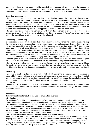outcome from these planning meetings will be recorded and a signature will be sought from the parent/carer to confirm their knowledge of the planned approach. These plans will be reviewed at least once every four to six months, or more frequently if there are major changes to the child's circumstances.

# **Recording and reporting**

It is important that any use of restrictive physical intervention is recorded. The records will show who was involved (child and staff, including observers), the reason physical intervention was considered appropriate, how the child was held, when it happened (date and time) and for how long, any subsequent injury or distress and what was done in relation to this. This should be done as soon as possible and within 24 hours of the incident. According to the nature of the incident, the incident should be noted in other records, such as the accident book or child tracking sheets. (See Appendix 2: Incident/Concerns report form).

After using restrictive physical intervention, we will inform the parent/carer by phone if they judge it is appropriate to do so (or by letter home with the child if this is not possible). Parent/carer should be given a copy of the record form. Mrs Garner should also be informed.

#### **Supporting and reviewing**

It is distressing to be involved in a restrictive physical intervention, whether as the person doing the holding, the child being held or someone observing or hearing about what has happened. After a restrictive physical intervention, support is given to the child so that they can understand why they were held. A record is kept about how the child felt about this where this is possible. Staff should help the child to record their views. Where appropriate, staff may have the same sort of conversations with other children who observed what happened (dependent upon their age and level of understanding). In all cases, staff should wait until the child has calmed down enough to be able to talk productively and understand this conversation. If necessary, an independent member of staff will check for injury and provide appropriate first aid.

Support is given to the adults who were involved, either actively or as observers. The adults should be given the chance to talk through what has happened with the most appropriate person from the staff team.

A key aim of after-incident support is to repair any potential strain to the relationship between the child and the adult that restrained him or her. After a restrictive physical intervention, staff consider reviewing the individual behaviour plan so that the risk of needing to use restrictive physical intervention again is reduced

#### **Monitoring**

The physical handling policy should provide details about monitoring procedures. Senior leadership is responsible for reviewing the policy and the policy will be reviewed at least annually and more often if needed. Monitoring the use of restrictive physical intervention will help identify trends and therefore help develop the setting's ability to meet the needs of children without using restrictive physical intervention.

#### **Complaints**

The use of physical intervention can lead to allegations of inappropriate or excessive use. Where anyone (child, carer, staff member or visitor) has a concern, this should be dealt with through the MOD Schools' complaints procedure.

#### **Appendix One**

#### **Summary guidance for staff on the use of physical intervention Introduction**

This guidance for staff is a summary of our setting's detailed policy on the use of physical intervention. Where staff are in any doubt about the use of physical intervention, they should refer to the full policy. This summary guidance refers to the use of restrictive physical intervention (restraint) which we define as "when a member of staff uses force intentionally to restrict a child's movement against his or her will". Staff should not feel inhibited from providing physical intervention under other circumstances, such as providing physical support or emotional comfort where such support is professionally appropriate. The use of such support must be consistent with our Child Protection policy.

#### **Who can restrain? Under what circumstances can restraint be used?**

Everyone has the right to use reasonable force to prevent actual or potential injury to people or damage to property (Common law power). Injury to people can include situations where a child's behaviour is putting him or herself at risk. In all situations, staff should always aim to use a less intrusive technique (such as issuing direct instructions, clearing the space of danger or seeking additional support) unless they judge that using such a technique is likely to make the situation worse.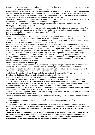Restraint should never be used as a substitute for good behaviour management, nor should it be employed in an angry, frustrated, threatening or punishing manner.

Although all staff have a duty of care to take appropriate steps in a dangerous situation, this does not mean that they have to use restraint if they judge that their attempts to do so are likely to escalate the situation. They may instead issue a direction to stop, call for additional assistance or take appropriate action to make the environment as safe as possible (e.g. by clearing the room of children).

Where it is anticipated that an individual child's behaviour makes it likely that they may be restrained, a risk assessment and intervention plan should be developed and implemented.

MAYBO (MAYBO Conflict Management Training) trained staff are to be used whenever possible.

# **What type of restraint can be used?**

Any use of restrictive physical intervention should be consistent with the principle of reasonable force. This means it needs to be in proportion to the risks of the situation, and that as little force is used as possible, for as short a period of time, in order to restore safety. Staff should:

# **Before physical contact:**

Use all reasonable efforts to avoid the use of physical intervention to manage children's behaviour. This includes issuing verbal instructions and a warning of an intention to intervene physically.

Try to summon additional support before intervening. Such support may simply be present as an observer, or may be ready to give additional physical support as necessary.

Be aware of personal space and the way that physical risks increase when a member of staff enters the personal space of a distressed or angry child. (Staff should also note that any uninvited interference with a child's property may be interpreted by them as an invasion of their personal space.) Staff should either stay well away, or close the gap between themselves and the child very rapidly, without leaving a "buffer zone" in which they can get punched or kicked. Avoid using a "frontal", "squaring up" approach, which exposes the sensitive parts of the body, and which may be perceived as threatening. Instead, staff should adopt a sideways stance, with their feet in a wide, stable base. This keeps the head in a safer position, as well as turning the sensitive parts of the body away from punches or kicks. Hands should be kept visible, using open palms to communicate lack of threat.

# **Where physical contact is necessary:**

Aim for side-by-side contact with the child. Staff should avoid positioning themselves in front of the child (to reduce the risk of being kicked) and should also avoid adopting a position from behind that might lead to allegations of sexual misconduct. In the side-by-side position, staff should aim to have no gap between the adult's and child's body. This minimises the risk of impact and damage.

Aim to keep the adult's back as straight and aligned (untwisted) as possible. We acknowledge that this is difficult, given that the children we work with are frequently smaller than us.

Beware in particular of head positioning, to avoid clashes of heads with the child.

Hold children by "long" bones, i.e. avoid grasping at joints where pain and damage are most likely. For example, staff should aim to hold on the forearm or upper arm rather than the hand, elbow or shoulder. Ensure that there is no restriction to the child's ability to breathe. In particular, this means avoiding holding a child around the chest cavity or stomach. Do all that they can to avoid lifting children.

Keep talking to the child (for example, "When you stop kicking me, I will release my hold") unless it is judged that continuing communications is likely to make the situation worse.

Don't expect the child to apologise or show remorse as many young children do not understand the difference between accidental and deliberate hurt.

Use as little restrictive force as is necessary in order to maintain safety and for as short a period of time as possible.

In very extreme circumstances two members of staff might be necessary to ensure safety.

# **After an incident:**

It is distressing to be involved in a restrictive physical intervention, whether as the child being held, the person doing the holding, or someone observing or hearing about what has happened. All those involved in the incident should receive support to help them talk about what has happened and, where necessary, record their views.

**The physical intervention should be recorded immediately in the incident book. Staff should inform the senior leadership as soon as possible after an incident of restrictive physical intervention; parents/carers should also be informed. There should also be a review following the incident so that lessons can be learned to reduce the likelihood of recurrence in the future.**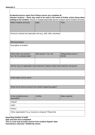| Where incident occurred:                                   | relating to the incident. Person in charge/responsible person of place where incident occurred:<br>Date: | Time:                            |
|------------------------------------------------------------|----------------------------------------------------------------------------------------------------------|----------------------------------|
|                                                            |                                                                                                          |                                  |
|                                                            |                                                                                                          |                                  |
|                                                            |                                                                                                          |                                  |
|                                                            | Person/s involved and status/job role (e.g. staff; child; volunteer):                                    |                                  |
|                                                            |                                                                                                          |                                  |
| Witnesses/status:                                          |                                                                                                          |                                  |
| Description of incident:                                   |                                                                                                          |                                  |
|                                                            |                                                                                                          |                                  |
|                                                            |                                                                                                          |                                  |
| Where there any injuries?<br>Yes / No if so please detail: | H&S issues?: Yes / No                                                                                    | Safeguarding issues ?:<br>Yes/No |
|                                                            |                                                                                                          |                                  |
|                                                            |                                                                                                          |                                  |
|                                                            |                                                                                                          |                                  |
|                                                            | Did the injury (if applicable) need treatment? (please detail what treatment was given)                  |                                  |
|                                                            |                                                                                                          |                                  |
|                                                            |                                                                                                          |                                  |
|                                                            |                                                                                                          |                                  |
| Action taken and by whom:                                  |                                                                                                          |                                  |
|                                                            |                                                                                                          |                                  |
|                                                            |                                                                                                          |                                  |
|                                                            | What can be done to prevent the incident happening again?                                                |                                  |
|                                                            |                                                                                                          |                                  |
| Is the incident/concern                                    | Yes/No                                                                                                   | Dates reported                   |
| reportable?:                                               |                                                                                                          |                                  |
| Ofsted?                                                    |                                                                                                          |                                  |
| HSE?                                                       |                                                                                                          |                                  |

**Date and time form completed:** 

**This is a true and accurate record of the incident Signed: Date: Parent/Carer informed: YES/NO By whom:**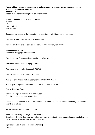#### **Please add any further information you feel relevant or where any further evidence relating to the incident may be recorded. APPENDIX 3 Report of Incident Involving Physical Intervention**

School: **Dhekelia Primary School** Date of Incident: Time: Pupil Involved: Staff Involved:

Circumstances leading to the incident where restrictive physical intervention was used.

Describe circumstances leading up to the incident.

Describe all attempts to de-escalate the situation and avoid physical handling.

**Physical Intervention:**  Reason for using physical intervention

Was the pupil/staff concerned at risk of injury? YES/NO

Were other children liable to injury? YES/NO

Was property about to be damaged? YES/NO

Was the child trying to run away? YES/NO

Was good order/discipline being compromised? YES/NO Was this

used as part of a planned intervention? YES/NO If Yes attach the

Positive Handling Plan.

Describe the type of physical intervention used. If pupil was held, state approximate duration.

If more than one member of staff was involved, each should record their actions separately and attach such records to this form.

Are the other records attached? YES/NO

#### **Behaviour following the physical intervention:**

Describe pupil's behaviour from point when hold was released until either supervision was handed over to someone else, or normal activities were resumed.

# **Injuries (include details of medical attention):**

To pupil: